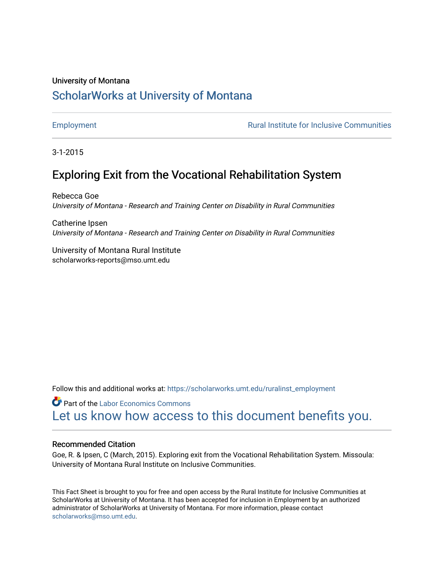#### University of Montana

## [ScholarWorks at University of Montana](https://scholarworks.umt.edu/)

[Employment](https://scholarworks.umt.edu/ruralinst_employment) **Employment Employment Rural Institute for Inclusive Communities** 

3-1-2015

## Exploring Exit from the Vocational Rehabilitation System

Rebecca Goe University of Montana - Research and Training Center on Disability in Rural Communities

Catherine Ipsen University of Montana - Research and Training Center on Disability in Rural Communities

University of Montana Rural Institute scholarworks-reports@mso.umt.edu

Follow this and additional works at: [https://scholarworks.umt.edu/ruralinst\\_employment](https://scholarworks.umt.edu/ruralinst_employment?utm_source=scholarworks.umt.edu%2Fruralinst_employment%2F31&utm_medium=PDF&utm_campaign=PDFCoverPages) 

**Part of the [Labor Economics Commons](http://network.bepress.com/hgg/discipline/349?utm_source=scholarworks.umt.edu%2Fruralinst_employment%2F31&utm_medium=PDF&utm_campaign=PDFCoverPages)** [Let us know how access to this document benefits you.](https://goo.gl/forms/s2rGfXOLzz71qgsB2) 

#### Recommended Citation

Goe, R. & Ipsen, C (March, 2015). Exploring exit from the Vocational Rehabilitation System. Missoula: University of Montana Rural Institute on Inclusive Communities.

This Fact Sheet is brought to you for free and open access by the Rural Institute for Inclusive Communities at ScholarWorks at University of Montana. It has been accepted for inclusion in Employment by an authorized administrator of ScholarWorks at University of Montana. For more information, please contact [scholarworks@mso.umt.edu.](mailto:scholarworks@mso.umt.edu)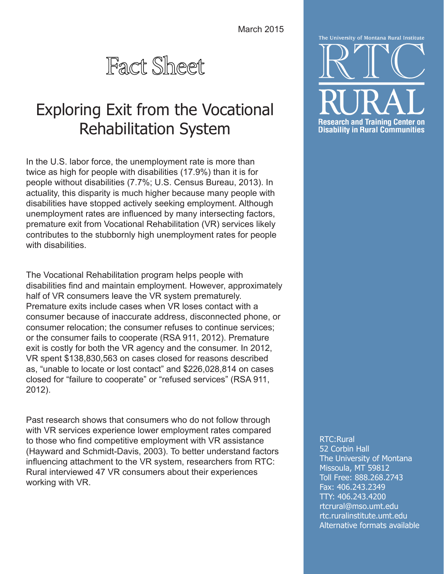March 2015



# Exploring Exit from the Vocational Rehabilitation System

In the U.S. labor force, the unemployment rate is more than twice as high for people with disabilities (17.9%) than it is for people without disabilities (7.7%; U.S. Census Bureau, 2013). In actuality, this disparity is much higher because many people with disabilities have stopped actively seeking employment. Although unemployment rates are influenced by many intersecting factors, premature exit from Vocational Rehabilitation (VR) services likely contributes to the stubbornly high unemployment rates for people with disabilities

The Vocational Rehabilitation program helps people with disabilities find and maintain employment. However, approximately half of VR consumers leave the VR system prematurely. Premature exits include cases when VR loses contact with a consumer because of inaccurate address, disconnected phone, or consumer relocation; the consumer refuses to continue services; or the consumer fails to cooperate (RSA 911, 2012). Premature exit is costly for both the VR agency and the consumer. In 2012, VR spent \$138,830,563 on cases closed for reasons described as, "unable to locate or lost contact" and \$226,028,814 on cases closed for "failure to cooperate" or "refused services" (RSA 911, 2012).

Past research shows that consumers who do not follow through with VR services experience lower employment rates compared to those who find competitive employment with VR assistance (Hayward and Schmidt-Davis, 2003). To better understand factors influencing attachment to the VR system, researchers from RTC: Rural interviewed 47 VR consumers about their experiences working with VR.



RTC:Rural

52 Corbin Hall The University of Montana Missoula, MT 59812 Toll Free: 888.268.2743 Fax: 406.243.2349 TTY: 406.243.4200 [rtcrural@m](mailto:rtcrural%40ruralinstitute.umt.edu?subject=)so.umt.edu <rtc.ruralinstitute.umt.edu> Alternative formats available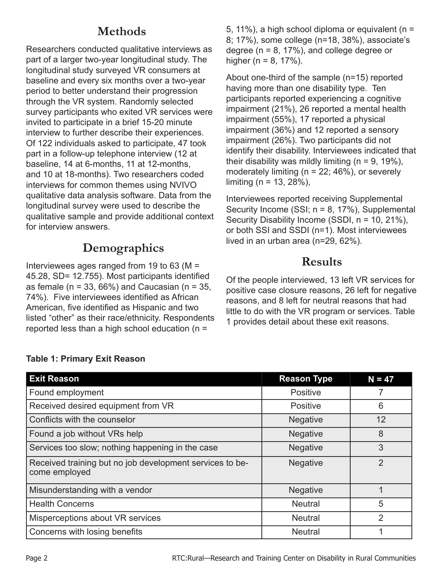# **Methods**

Researchers conducted qualitative interviews as part of a larger two-year longitudinal study. The longitudinal study surveyed VR consumers at baseline and every six months over a two-year period to better understand their progression through the VR system. Randomly selected survey participants who exited VR services were invited to participate in a brief 15-20 minute interview to further describe their experiences. Of 122 individuals asked to participate, 47 took part in a follow-up telephone interview (12 at baseline, 14 at 6-months, 11 at 12-months, and 10 at 18-months). Two researchers coded interviews for common themes using NVIVO qualitative data analysis software. Data from the longitudinal survey were used to describe the qualitative sample and provide additional context for interview answers.

# **Demographics**

Interviewees ages ranged from 19 to 63 (M = 45.28, SD= 12.755). Most participants identified as female ( $n = 33$ , 66%) and Caucasian ( $n = 35$ , 74%). Five interviewees identified as African American, five identified as Hispanic and two listed "other" as their race/ethnicity. Respondents reported less than a high school education (n =

5, 11%), a high school diploma or equivalent (n = 8; 17%), some college (n=18, 38%), associate's degree ( $n = 8$ , 17%), and college degree or higher ( $n = 8, 17\%$ ).

About one-third of the sample (n=15) reported having more than one disability type. Ten participants reported experiencing a cognitive impairment (21%), 26 reported a mental health impairment (55%), 17 reported a physical impairment (36%) and 12 reported a sensory impairment (26%). Two participants did not identify their disability. Interviewees indicated that their disability was mildly limiting  $(n = 9, 19\%)$ , moderately limiting ( $n = 22$ ; 46%), or severely limiting ( $n = 13, 28\%$ ),

Interviewees reported receiving Supplemental Security Income (SSI;  $n = 8$ , 17%), Supplemental Security Disability Income (SSDI, n = 10, 21%), or both SSI and SSDI (n=1). Most interviewees lived in an urban area (n=29, 62%).

# **Results**

Of the people interviewed, 13 left VR services for positive case closure reasons, 26 left for negative reasons, and 8 left for neutral reasons that had little to do with the VR program or services. Table 1 provides detail about these exit reasons.

| <b>Exit Reason</b>                                                        | <b>Reason Type</b> | $N = 47$       |
|---------------------------------------------------------------------------|--------------------|----------------|
| Found employment                                                          | Positive           |                |
| Received desired equipment from VR                                        | <b>Positive</b>    | 6              |
| Conflicts with the counselor                                              | <b>Negative</b>    | 12             |
| Found a job without VRs help                                              | <b>Negative</b>    | 8              |
| Services too slow; nothing happening in the case                          | <b>Negative</b>    | 3              |
| Received training but no job development services to be-<br>come employed | <b>Negative</b>    | $\overline{2}$ |
| Misunderstanding with a vendor                                            | <b>Negative</b>    | 1              |
| <b>Health Concerns</b>                                                    | <b>Neutral</b>     | 5              |
| Misperceptions about VR services                                          | <b>Neutral</b>     | $\overline{2}$ |
| Concerns with losing benefits                                             | <b>Neutral</b>     |                |

#### **Table 1: Primary Exit Reason**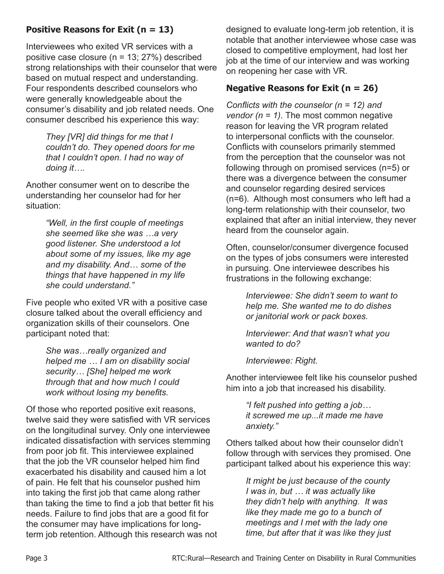### **Positive Reasons for Exit (n = 13)**

Interviewees who exited VR services with a positive case closure (n = 13; 27%) described strong relationships with their counselor that were based on mutual respect and understanding. Four respondents described counselors who were generally knowledgeable about the consumer's disability and job related needs. One consumer described his experience this way:

> *They [VR] did things for me that I couldn't do. They opened doors for me that I couldn't open. I had no way of doing it….*

Another consumer went on to describe the understanding her counselor had for her situation:

> *"Well, in the first couple of meetings she seemed like she was …a very good listener. She understood a lot about some of my issues, like my age and my disability. And… some of the things that have happened in my life she could understand."*

Five people who exited VR with a positive case closure talked about the overall efficiency and organization skills of their counselors. One participant noted that:

> *She was…really organized and helped me … I am on disability social security… [She] helped me work through that and how much I could work without losing my benefits.*

Of those who reported positive exit reasons, twelve said they were satisfied with VR services on the longitudinal survey. Only one interviewee indicated dissatisfaction with services stemming from poor job fit. This interviewee explained that the job the VR counselor helped him find exacerbated his disability and caused him a lot of pain. He felt that his counselor pushed him into taking the first job that came along rather than taking the time to find a job that better fit his needs. Failure to find jobs that are a good fit for the consumer may have implications for longterm job retention. Although this research was not

designed to evaluate long-term job retention, it is notable that another interviewee whose case was closed to competitive employment, had lost her job at the time of our interview and was working on reopening her case with VR.

#### **Negative Reasons for Exit (n = 26)**

*Conflicts with the counselor (n = 12) and vendor (n = 1).* The most common negative reason for leaving the VR program related to interpersonal conflicts with the counselor. Conflicts with counselors primarily stemmed from the perception that the counselor was not following through on promised services (n=5) or there was a divergence between the consumer and counselor regarding desired services (n=6). Although most consumers who left had a long-term relationship with their counselor, two explained that after an initial interview, they never heard from the counselor again.

Often, counselor/consumer divergence focused on the types of jobs consumers were interested in pursuing. One interviewee describes his frustrations in the following exchange:

> *Interviewee: She didn't seem to want to help me. She wanted me to do dishes or janitorial work or pack boxes.*

*Interviewer: And that wasn't what you wanted to do?*

*Interviewee: Right.* 

Another interviewee felt like his counselor pushed him into a job that increased his disability.

> *"I felt pushed into getting a job… it screwed me up...it made me have anxiety."*

Others talked about how their counselor didn't follow through with services they promised. One participant talked about his experience this way:

*It might be just because of the county I was in, but … it was actually like they didn't help with anything. It was like they made me go to a bunch of meetings and I met with the lady one time, but after that it was like they just*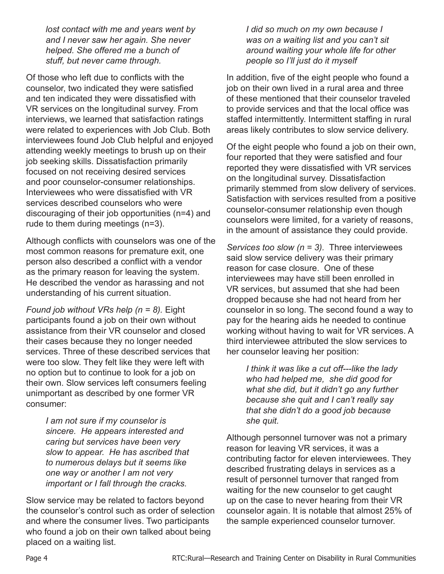*lost contact with me and years went by and I never saw her again. She never helped. She offered me a bunch of stuff, but never came through.* 

Of those who left due to conflicts with the counselor, two indicated they were satisfied and ten indicated they were dissatisfied with VR services on the longitudinal survey. From interviews, we learned that satisfaction ratings were related to experiences with Job Club. Both interviewees found Job Club helpful and enjoyed attending weekly meetings to brush up on their job seeking skills. Dissatisfaction primarily focused on not receiving desired services and poor counselor-consumer relationships. Interviewees who were dissatisfied with VR services described counselors who were discouraging of their job opportunities (n=4) and rude to them during meetings (n=3).

Although conflicts with counselors was one of the most common reasons for premature exit, one person also described a conflict with a vendor as the primary reason for leaving the system. He described the vendor as harassing and not understanding of his current situation.

*Found job without VRs help (n = 8).* Eight participants found a job on their own without assistance from their VR counselor and closed their cases because they no longer needed services. Three of these described services that were too slow. They felt like they were left with no option but to continue to look for a job on their own. Slow services left consumers feeling unimportant as described by one former VR consumer:

> *I am not sure if my counselor is sincere. He appears interested and caring but services have been very slow to appear. He has ascribed that to numerous delays but it seems like one way or another I am not very important or I fall through the cracks.*

Slow service may be related to factors beyond the counselor's control such as order of selection and where the consumer lives. Two participants who found a job on their own talked about being placed on a waiting list.

*I did so much on my own because I was on a waiting list and you can't sit around waiting your whole life for other people so I'll just do it myself*

In addition, five of the eight people who found a job on their own lived in a rural area and three of these mentioned that their counselor traveled to provide services and that the local office was staffed intermittently. Intermittent staffing in rural areas likely contributes to slow service delivery.

Of the eight people who found a job on their own, four reported that they were satisfied and four reported they were dissatisfied with VR services on the longitudinal survey. Dissatisfaction primarily stemmed from slow delivery of services. Satisfaction with services resulted from a positive counselor-consumer relationship even though counselors were limited, for a variety of reasons, in the amount of assistance they could provide.

*Services too slow (n = 3).* Three interviewees said slow service delivery was their primary reason for case closure. One of these interviewees may have still been enrolled in VR services, but assumed that she had been dropped because she had not heard from her counselor in so long. The second found a way to pay for the hearing aids he needed to continue working without having to wait for VR services. A third interviewee attributed the slow services to her counselor leaving her position:

*I think it was like a cut off---like the lady who had helped me, she did good for what she did, but it didn't go any further because she quit and I can't really say that she didn't do a good job because she quit.*

Although personnel turnover was not a primary reason for leaving VR services, it was a contributing factor for eleven interviewees. They described frustrating delays in services as a result of personnel turnover that ranged from waiting for the new counselor to get caught up on the case to never hearing from their VR counselor again. It is notable that almost 25% of the sample experienced counselor turnover.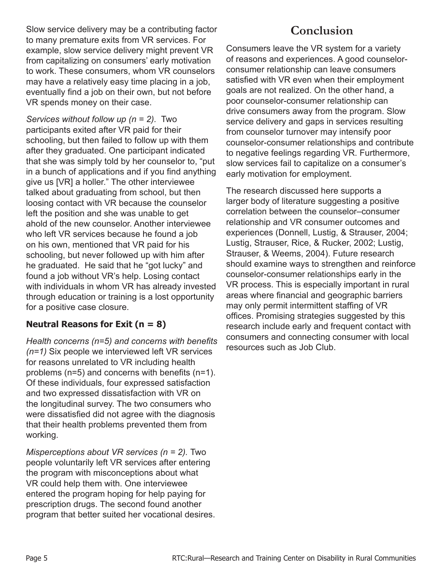Slow service delivery may be a contributing factor to many premature exits from VR services. For example, slow service delivery might prevent VR from capitalizing on consumers' early motivation to work. These consumers, whom VR counselors may have a relatively easy time placing in a job, eventually find a job on their own, but not before VR spends money on their case.

*Services without follow up (n = 2).* Two participants exited after VR paid for their schooling, but then failed to follow up with them after they graduated. One participant indicated that she was simply told by her counselor to, "put in a bunch of applications and if you find anything give us [VR] a holler." The other interviewee talked about graduating from school, but then loosing contact with VR because the counselor left the position and she was unable to get ahold of the new counselor. Another interviewee who left VR services because he found a job on his own, mentioned that VR paid for his schooling, but never followed up with him after he graduated. He said that he "got lucky" and found a job without VR's help. Losing contact with individuals in whom VR has already invested through education or training is a lost opportunity for a positive case closure.

### **Neutral Reasons for Exit (n = 8)**

*Health concerns (n=5) and concerns with benefits (n=1)* Six people we interviewed left VR services for reasons unrelated to VR including health problems (n=5) and concerns with benefits (n=1). Of these individuals, four expressed satisfaction and two expressed dissatisfaction with VR on the longitudinal survey. The two consumers who were dissatisfied did not agree with the diagnosis that their health problems prevented them from working.

*Misperceptions about VR services (n = 2).* Two people voluntarily left VR services after entering the program with misconceptions about what VR could help them with. One interviewee entered the program hoping for help paying for prescription drugs. The second found another program that better suited her vocational desires.

# **Conclusion**

Consumers leave the VR system for a variety of reasons and experiences. A good counselorconsumer relationship can leave consumers satisfied with VR even when their employment goals are not realized. On the other hand, a poor counselor-consumer relationship can drive consumers away from the program. Slow service delivery and gaps in services resulting from counselor turnover may intensify poor counselor-consumer relationships and contribute to negative feelings regarding VR. Furthermore, slow services fail to capitalize on a consumer's early motivation for employment.

The research discussed here supports a larger body of literature suggesting a positive correlation between the counselor–consumer relationship and VR consumer outcomes and experiences (Donnell, Lustig, & Strauser, 2004; Lustig, Strauser, Rice, & Rucker, 2002; Lustig, Strauser, & Weems, 2004). Future research should examine ways to strengthen and reinforce counselor-consumer relationships early in the VR process. This is especially important in rural areas where financial and geographic barriers may only permit intermittent staffing of VR offices. Promising strategies suggested by this research include early and frequent contact with consumers and connecting consumer with local resources such as Job Club.